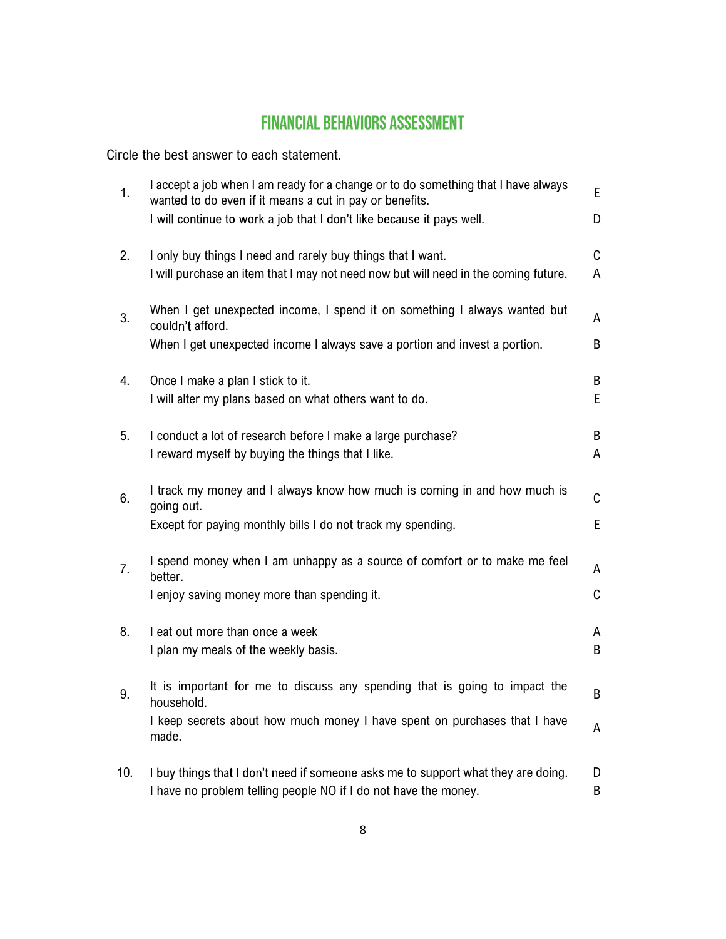## **FINANCIAL BEHAVIORS ASSESSMENT**

Circle the best answer to each statement.

| 1.  | I accept a job when I am ready for a change or to do something that I have always<br>wanted to do even if it means a cut in pay or benefits.          | E                |
|-----|-------------------------------------------------------------------------------------------------------------------------------------------------------|------------------|
|     | I will continue to work a job that I don't like because it pays well.                                                                                 | D                |
| 2.  | I only buy things I need and rarely buy things that I want.<br>I will purchase an item that I may not need now but will need in the coming future.    | C<br>A           |
| 3.  | When I get unexpected income, I spend it on something I always wanted but<br>couldn't afford.                                                         | A                |
|     | When I get unexpected income I always save a portion and invest a portion.                                                                            | B                |
| 4.  | Once I make a plan I stick to it.<br>I will alter my plans based on what others want to do.                                                           | B<br>E           |
| 5.  | I conduct a lot of research before I make a large purchase?<br>I reward myself by buying the things that I like.                                      | B<br>A           |
| 6.  | I track my money and I always know how much is coming in and how much is<br>going out.<br>Except for paying monthly bills I do not track my spending. | $\mathsf C$<br>E |
| 7.  | I spend money when I am unhappy as a source of comfort or to make me feel<br>better.                                                                  | A                |
|     | I enjoy saving money more than spending it.                                                                                                           | C                |
| 8.  | I eat out more than once a week<br>I plan my meals of the weekly basis.                                                                               | A<br>B           |
| 9.  | It is important for me to discuss any spending that is going to impact the<br>household.                                                              | B                |
|     | I keep secrets about how much money I have spent on purchases that I have<br>made.                                                                    | A                |
| 10. | I buy things that I don't need if someone asks me to support what they are doing.<br>I have no problem telling people NO if I do not have the money.  | D<br>B           |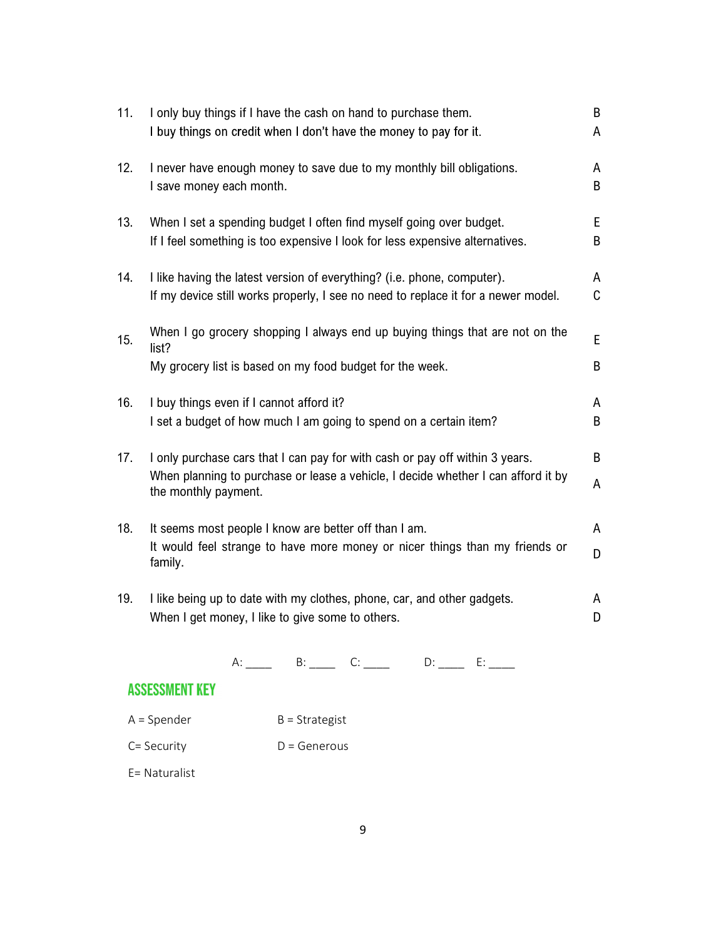| 11. | I only buy things if I have the cash on hand to purchase them.<br>I buy things on credit when I don't have the money to pay for it.                                                       | B<br>A |
|-----|-------------------------------------------------------------------------------------------------------------------------------------------------------------------------------------------|--------|
| 12. | I never have enough money to save due to my monthly bill obligations.<br>I save money each month.                                                                                         | A<br>B |
| 13. | When I set a spending budget I often find myself going over budget.<br>If I feel something is too expensive I look for less expensive alternatives.                                       | E<br>B |
| 14. | I like having the latest version of everything? (i.e. phone, computer).<br>If my device still works properly, I see no need to replace it for a newer model.                              | A<br>C |
| 15. | When I go grocery shopping I always end up buying things that are not on the<br>list?<br>My grocery list is based on my food budget for the week.                                         | E<br>B |
| 16. | I buy things even if I cannot afford it?<br>I set a budget of how much I am going to spend on a certain item?                                                                             | A<br>B |
| 17. | I only purchase cars that I can pay for with cash or pay off within 3 years.<br>When planning to purchase or lease a vehicle, I decide whether I can afford it by<br>the monthly payment. | B<br>A |
| 18. | It seems most people I know are better off than I am.<br>It would feel strange to have more money or nicer things than my friends or<br>family.                                           | A<br>D |
| 19. | I like being up to date with my clothes, phone, car, and other gadgets.<br>When I get money, I like to give some to others.                                                               | A<br>D |

 $A:$  \_\_\_\_ B: \_\_\_\_ C: \_\_\_\_ D: \_\_\_ E: \_\_\_

## **ASSESSMENT KEY**

- $A = Spencer$   $B = Strategy$
- C= Security D = Generous

E= Naturalist